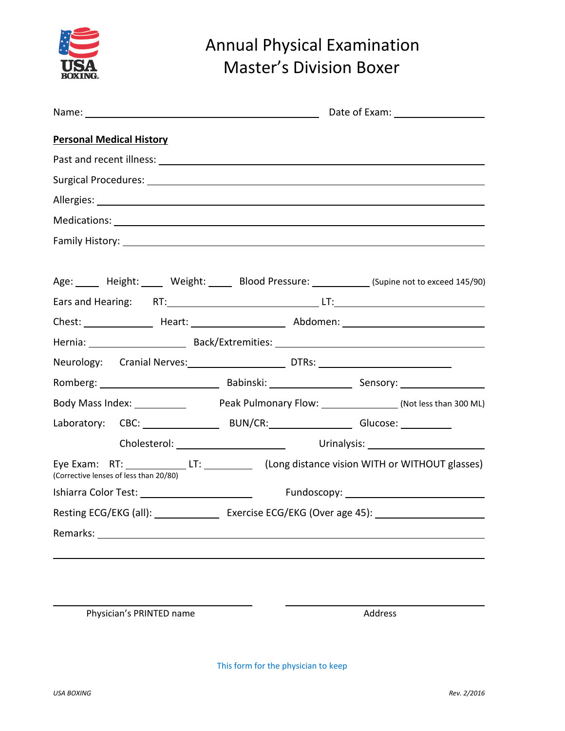

## Annual Physical Examination Master's Division Boxer

| <b>Personal Medical History</b>                                                                                                      |  |  |
|--------------------------------------------------------------------------------------------------------------------------------------|--|--|
|                                                                                                                                      |  |  |
|                                                                                                                                      |  |  |
|                                                                                                                                      |  |  |
|                                                                                                                                      |  |  |
|                                                                                                                                      |  |  |
|                                                                                                                                      |  |  |
| Age: _____ Height: _____ Weight: _____ Blood Pressure: ___________ (Supine not to exceed 145/90)                                     |  |  |
|                                                                                                                                      |  |  |
|                                                                                                                                      |  |  |
| Hernia: Back/Extremities: 1998) Back/Extremities: Nernia: 1998                                                                       |  |  |
| Neurology: Cranial Nerves: DTRs: DTRs: 2000                                                                                          |  |  |
|                                                                                                                                      |  |  |
|                                                                                                                                      |  |  |
| Laboratory: CBC: BUN/CR: BUN/CR: Glucose: CHUNCR:                                                                                    |  |  |
|                                                                                                                                      |  |  |
| Eye Exam: RT: _____________LT: ____________ (Long distance vision WITH or WITHOUT glasses)<br>(Corrective lenses of less than 20/80) |  |  |
|                                                                                                                                      |  |  |
|                                                                                                                                      |  |  |
|                                                                                                                                      |  |  |
|                                                                                                                                      |  |  |

Physician's PRINTED name and a state of the Address

This form for the physician to keep